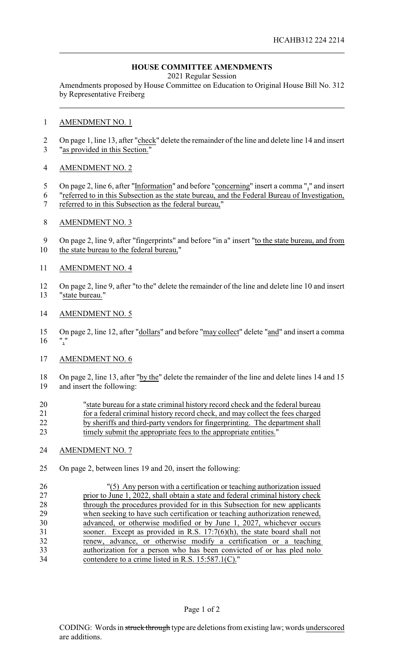## **HOUSE COMMITTEE AMENDMENTS**

2021 Regular Session

Amendments proposed by House Committee on Education to Original House Bill No. 312 by Representative Freiberg

#### AMENDMENT NO. 1

2 On page 1, line 13, after "check" delete the remainder of the line and delete line 14 and insert "as provided in this Section."

### AMENDMENT NO. 2

- 5 On page 2, line 6, after "Information" and before "concerning" insert a comma "," and insert
- "referred to in this Subsection as the state bureau, and the Federal Bureau of Investigation,
- referred to in this Subsection as the federal bureau,"

### AMENDMENT NO. 3

9 On page 2, line 9, after "fingerprints" and before "in a" insert "to the state bureau, and from the state bureau to the federal bureau,"

### AMENDMENT NO. 4

 On page 2, line 9, after "to the" delete the remainder of the line and delete line 10 and insert "state bureau."

#### AMENDMENT NO. 5

 On page 2, line 12, after "dollars" and before "may collect" delete "and" and insert a comma  $16 \frac{10}{2}$ 

### AMENDMENT NO. 6

 On page 2, line 13, after "by the" delete the remainder of the line and delete lines 14 and 15 and insert the following:

| 20 | "state bureau for a state criminal history record check and the federal bureau |
|----|--------------------------------------------------------------------------------|
| 21 | for a federal criminal history record check, and may collect the fees charged  |
| 22 | by sheriffs and third-party vendors for fingerprinting. The department shall   |
| 23 | timely submit the appropriate fees to the appropriate entities."               |

### AMENDMENT NO. 7

On page 2, between lines 19 and 20, insert the following:

 "(5) Any person with a certification or teaching authorization issued 27 prior to June 1, 2022, shall obtain a state and federal criminal history check<br>28 through the procedures provided for in this Subsection for new applicants through the procedures provided for in this Subsection for new applicants when seeking to have such certification or teaching authorization renewed, advanced, or otherwise modified or by June 1, 2027, whichever occurs sooner. Except as provided in R.S. 17:7(6)(h), the state board shall not renew, advance, or otherwise modify a certification or a teaching authorization for a person who has been convicted of or has pled nolo contendere to a crime listed in R.S. 15:587.1(C)."